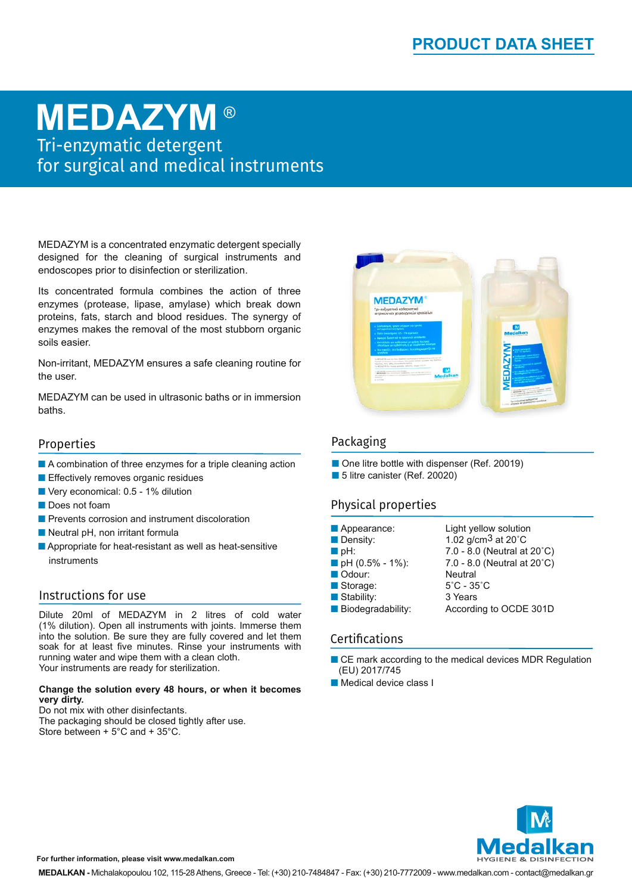## **MEDAZYM** ®

Tri-enzymatic detergent for surgical and medical instruments

MEDAZYM is a concentrated enzymatic detergent specially designed for the cleaning of surgical instruments and endoscopes prior to disinfection or sterilization.

Its concentrated formula combines the action of three enzymes (protease, lipase, amylase) which break down proteins, fats, starch and blood residues. The synergy of enzymes makes the removal of the most stubborn organic soils easier.

Non-irritant, MEDAZYM ensures a safe cleaning routine for the user.

MEDAZYM can be used in ultrasonic baths or in immersion baths.

#### Properties

- $\blacksquare$  A combination of three enzymes for a triple cleaning action
- Effectively removes organic residues
- Very economical: 0.5 1% dilution
- Does not foam
- **n** Prevents corrosion and instrument discoloration
- $\blacksquare$  Neutral pH, non irritant formula
- $\blacksquare$  Appropriate for heat-resistant as well as heat-sensitive instruments

#### Instructions for use

Dilute 20ml of MEDAZYM in 2 litres of cold water (1% dilution). Open all instruments with joints. Immerse them into the solution. Be sure they are fully covered and let them soak for at least five minutes. Rinse your instruments with running water and wipe them with a clean cloth. Your instruments are ready for sterilization.

#### **Change the solution every 48 hours, or when it becomes very dirty.**

Do not mix with other disinfectants. The packaging should be closed tightly after use. Store between + 5°C and + 35°C.



#### Packaging

■ One litre bottle with dispenser (Ref. 20019) ■ 5 litre canister (Ref. 20020)

### Physical properties

| Appearance:        | Light yellow solution            |
|--------------------|----------------------------------|
| Density:           | $1.02$ g/cm <sup>3</sup> at 20°C |
| $\blacksquare$ pH: | 7.0 - 8.0 (Neutral at 20°C)      |
| pH (0.5% - 1%):    | 7.0 - 8.0 (Neutral at 20°C)      |
| Odour:             | <b>Neutral</b>                   |
| Storage:           | $5^{\circ}$ C - 35 $^{\circ}$ C  |
| Stability:         | 3 Years                          |
| Biodegradability:  | According to OCDE 301D           |

#### Certifications

- $\blacksquare$  CE mark according to the medical devices MDR Regulation (EU) 2017/745
- **n** Medical device class I



**For further information, please visit www.medalkan.com**